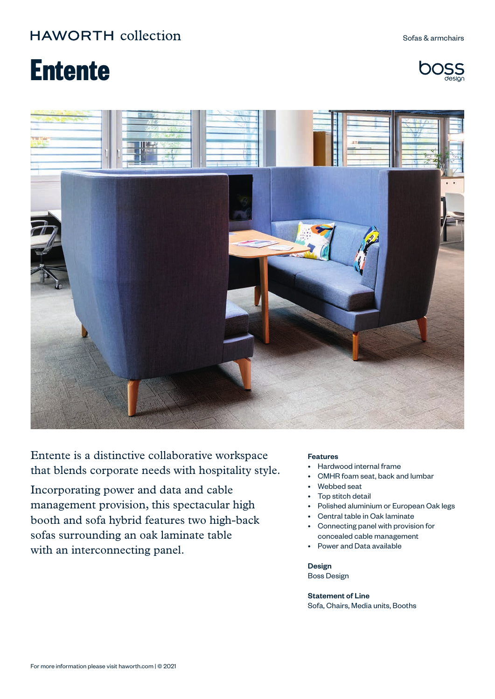Sofas & armchairs

# **Entente**





Entente is a distinctive collaborative workspace that blends corporate needs with hospitality style.

Incorporating power and data and cable management provision, this spectacular high booth and sofa hybrid features two high-back sofas surrounding an oak laminate table with an interconnecting panel.

#### Features

- Hardwood internal frame
- CMHR foam seat, back and lumbar
- Webbed seat
- Top stitch detail
- Polished aluminium or European Oak legs
- Central table in Oak laminate
- Connecting panel with provision for concealed cable management
- Power and Data available

Design Boss Design

Statement of Line Sofa, Chairs, Media units, Booths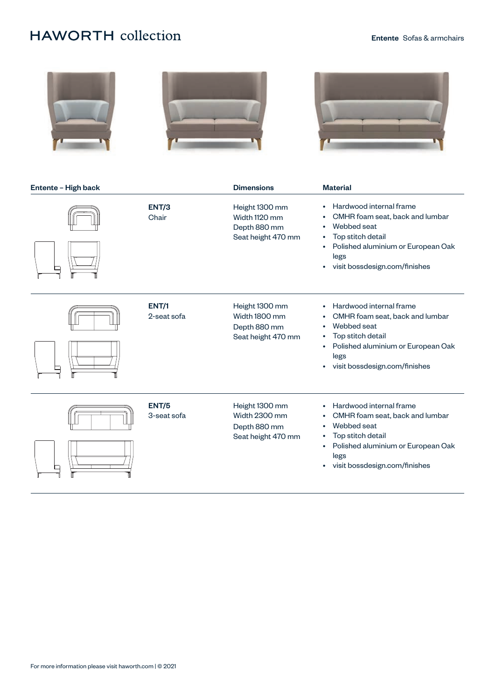





| Entente - High back |                             | <b>Dimensions</b>                                                     | <b>Material</b>                                                                                                                                                                                                                                             |
|---------------------|-----------------------------|-----------------------------------------------------------------------|-------------------------------------------------------------------------------------------------------------------------------------------------------------------------------------------------------------------------------------------------------------|
|                     | ENT/3<br>Chair              | Height 1300 mm<br>Width 1120 mm<br>Depth 880 mm<br>Seat height 470 mm | Hardwood internal frame<br>$\bullet$<br>CMHR foam seat, back and lumbar<br>٠<br>Webbed seat<br>$\bullet$<br>Top stitch detail<br>٠<br>Polished aluminium or European Oak<br>$\bullet$<br>legs<br>visit bossdesign.com/finishes<br>$\bullet$                 |
|                     | <b>ENT/1</b><br>2-seat sofa | Height 1300 mm<br>Width 1800 mm<br>Depth 880 mm<br>Seat height 470 mm | Hardwood internal frame<br>$\bullet$<br>CMHR foam seat, back and lumbar<br>$\bullet$<br>Webbed seat<br>$\bullet$<br>Top stitch detail<br>$\bullet$<br>Polished aluminium or European Oak<br>$\bullet$<br>legs<br>visit bossdesign.com/finishes<br>$\bullet$ |
|                     | <b>ENT/5</b><br>3-seat sofa | Height 1300 mm<br>Width 2300 mm<br>Depth 880 mm<br>Seat height 470 mm | Hardwood internal frame<br>$\bullet$<br>CMHR foam seat, back and lumbar<br>٠<br>Webbed seat<br>$\bullet$<br>Top stitch detail<br>$\bullet$<br>Polished aluminium or European Oak<br>$\bullet$<br>legs<br>visit bossdesign.com/finishes<br>$\bullet$         |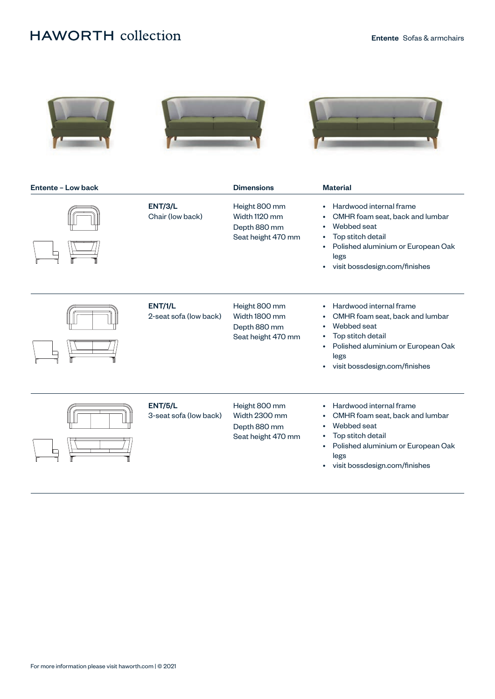





| Entente - Low back |                                          | <b>Dimensions</b>                                                    | <b>Material</b>                                                                                                                                                                                                                                             |
|--------------------|------------------------------------------|----------------------------------------------------------------------|-------------------------------------------------------------------------------------------------------------------------------------------------------------------------------------------------------------------------------------------------------------|
|                    | <b>ENT/3/L</b><br>Chair (low back)       | Height 800 mm<br>Width 1120 mm<br>Depth 880 mm<br>Seat height 470 mm | Hardwood internal frame<br>$\bullet$<br>CMHR foam seat, back and lumbar<br>$\bullet$<br>Webbed seat<br>$\bullet$<br>Top stitch detail<br>$\bullet$<br>Polished aluminium or European Oak<br>$\bullet$<br>legs<br>visit bossdesign.com/finishes<br>$\bullet$ |
|                    | <b>ENT/1/L</b><br>2-seat sofa (low back) | Height 800 mm<br>Width 1800 mm<br>Depth 880 mm<br>Seat height 470 mm | Hardwood internal frame<br>$\bullet$<br>CMHR foam seat, back and lumbar<br>٠<br>Webbed seat<br>$\bullet$<br>Top stitch detail<br>$\bullet$<br>Polished aluminium or European Oak<br>$\bullet$<br>legs<br>visit bossdesign.com/finishes<br>$\bullet$         |
|                    | <b>ENT/5/L</b><br>3-seat sofa (low back) | Height 800 mm<br>Width 2300 mm<br>Depth 880 mm<br>Seat height 470 mm | Hardwood internal frame<br>$\bullet$<br>CMHR foam seat, back and lumbar<br>$\bullet$<br>Webbed seat<br>$\bullet$<br>Top stitch detail<br>$\bullet$<br>Polished aluminium or European Oak<br>$\bullet$<br>legs<br>visit bossdesign.com/finishes<br>$\bullet$ |